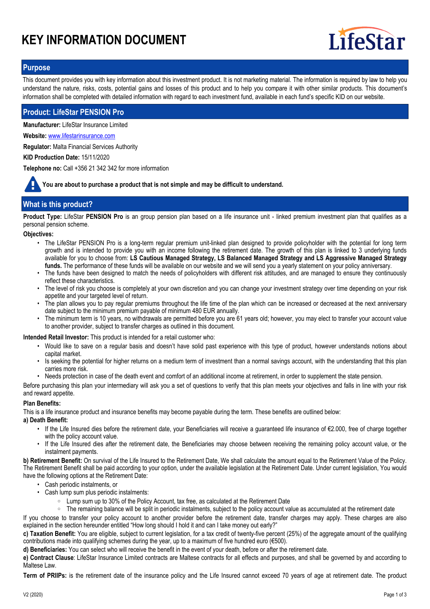# **KEY INFORMATION DOCUMENT**



# **Purpose**

This document provides you with key information about this investment product. It is not marketing material. The information is required by law to help you understand the nature, risks, costs, potential gains and losses of this product and to help you compare it with other similar products. This document's information shall be completed with detailed information with regard to each investment fund, available in each fund's specific KID on our website.

# **Product: LifeStar PENSION Pro**

**Manufacturer:** LifeStar Insurance Limited

**Website:** www.lifestarinsurance.com

**Regulator:** Malta Financial Services Authority

**KID Production Date:** 15/11/2020

**Telephone no:** Call +356 21 342 342 for more information

**You are about to purchase a product that is not simple and may be difficult to understand.**

# **What is this product?**

**Product Type:** LifeStar **PENSION Pro** is an group pension plan based on a life insurance unit - linked premium investment plan that qualifies as a personal pension scheme.

#### **Objectives:**

- The LifeStar PENSION Pro is a long-term regular premium unit-linked plan designed to provide policyholder with the potential for long term growth and is intended to provide you with an income following the retirement date. The growth of this plan is linked to 3 underlying funds available for you to choose from: **LS Cautious Managed Strategy, LS Balanced Managed Strategy and LS Aggressive Managed Strategy funds.** The performance of these funds will be available on our website and we will send you a yearly statement on your policy anniversary.
- The funds have been designed to match the needs of policyholders with different risk attitudes, and are managed to ensure they continuously reflect these characteristics. •
- The level of risk you choose is completely at your own discretion and you can change your investment strategy over time depending on your risk appetite and your targeted level of return. •
- The plan allows you to pay regular premiums throughout the life time of the plan which can be increased or decreased at the next anniversary date subject to the minimum premium payable of minimum 480 EUR annually. •
- The minimum term is 10 years, no withdrawals are permitted before you are 61 years old; however, you may elect to transfer your account value to another provider, subject to transfer charges as outlined in this document. •

**Intended Retail Investor:** This product is intended for a retail customer who:

- Would like to save on a regular basis and doesn't have solid past experience with this type of product, however understands notions about capital market.
- Is seeking the potential for higher returns on a medium term of investment than a normal savings account, with the understanding that this plan carries more risk. •
- Needs protection in case of the death event and comfort of an additional income at retirement, in order to supplement the state pension.

Before purchasing this plan your intermediary will ask you a set of questions to verify that this plan meets your objectives and falls in line with your risk and reward appetite.

## **Plan Benefits:**

This is a life insurance product and insurance benefits may become payable during the term. These benefits are outlined below:

#### **a) Death Benefit:**

- If the Life Insured dies before the retirement date, your Beneficiaries will receive a guaranteed life insurance of €2.000, free of charge together with the policy account value. •
- If the Life Insured dies after the retirement date, the Beneficiaries may choose between receiving the remaining policy account value, or the instalment payments. •

**b) Retirement Benefit:** On survival of the Life Insured to the Retirement Date, We shall calculate the amount equal to the Retirement Value of the Policy. The Retirement Benefit shall be paid according to your option, under the available legislation at the Retirement Date. Under current legislation, You would have the following options at the Retirement Date:

- Cash periodic instalments, or
- Cash lump sum plus periodic instalments:
	- Lump sum up to 30% of the Policy Account, tax free, as calculated at the Retirement Date

○ The remaining balance will be split in periodic instalments, subject to the policy account value as accumulated at the retirement date

If you choose to transfer your policy account to another provider before the retirement date, transfer charges may apply. These charges are also explained in the section hereunder entitled "How long should I hold it and can I take money out early?"

**c) Taxation Benefit:** You are eligible, subject to current legislation, for a tax credit of twenty-five percent (25%) of the aggregate amount of the qualifying contributions made into qualifying schemes during the year, up to a maximum of five hundred euro (€500).

**d) Beneficiaries:** You can select who will receive the benefit in the event of your death, before or after the retirement date.

**e) Contract Clause**: LifeStar Insurance Limited contracts are Maltese contracts for all effects and purposes, and shall be governed by and according to Maltese Law.

**Term of PRIIPs:** is the retirement date of the insurance policy and the Life Insured cannot exceed 70 years of age at retirement date. The product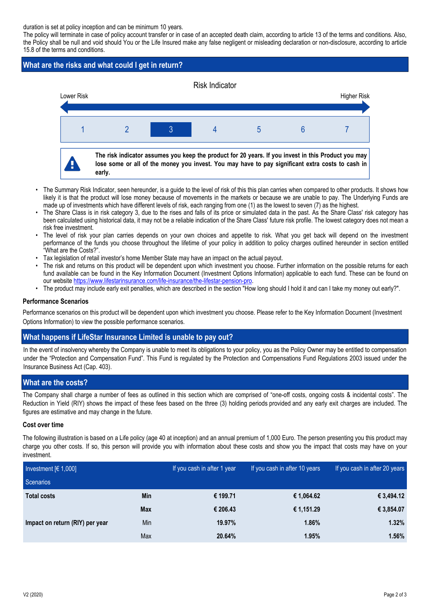duration is set at policy inception and can be minimum 10 years.

The policy will terminate in case of policy account transfer or in case of an accepted death claim, according to article 13 of the terms and conditions. Also, the Policy shall be null and void should You or the Life Insured make any false negligent or misleading declaration or non-disclosure, according to article 15.8 of the terms and conditions.

# **What are the risks and what could I get in return?**



- The Summary Risk Indicator, seen hereunder, is a guide to the level of risk of this this plan carries when compared to other products. It shows how likely it is that the product will lose money because of movements in the markets or because we are unable to pay. The Underlying Funds are made up of investments which have different levels of risk, each ranging from one (1) as the lowest to seven (7) as the highest. •
- The Share Class is in risk category 3, due to the rises and falls of its price or simulated data in the past. As the Share Class' risk category has been calculated using historical data, it may not be a reliable indication of the Share Class' future risk profile. The lowest category does not mean a risk free investment. •
- The level of risk your plan carries depends on your own choices and appetite to risk. What you get back will depend on the investment performance of the funds you choose throughout the lifetime of your policy in addition to policy charges outlined hereunder in section entitled "What are the Costs?". •
- Tax legislation of retail investor's home Member State may have an impact on the actual payout.
- The risk and returns on this product will be dependent upon which investment you choose. Further information on the possible returns for each fund available can be found in the Key Information Document (Investment Options Information) applicable to each fund. These can be found on our website https://www.lifestarinsurance.com/life-insurance/the-lifestar-pension-pro.
- The product may include early exit penalties, which are described in the section "How long should I hold it and can I take my money out early?".

## **Performance Scenarios**

Performance scenarios on this product will be dependent upon which investment you choose. Please refer to the Key Information Document (Investment Options Information) to view the possible performance scenarios.

# **What happens if LifeStar Insurance Limited is unable to pay out?**

In the event of insolvency whereby the Company is unable to meet its obligations to your policy, you as the Policy Owner may be entitled to compensation under the "Protection and Compensation Fund". This Fund is regulated by the Protection and Compensations Fund Regulations 2003 issued under the Insurance Business Act (Cap. 403).

# **What are the costs?**

The Company shall charge a number of fees as outlined in this section which are comprised of "one-off costs, ongoing costs & incidental costs". The Reduction in Yield (RIY) shows the impact of these fees based on the three (3) holding periods provided and any early exit charges are included. The figures are estimative and may change in the future.

## **Cost over time**

The following illustration is based on a Life policy (age 40 at inception) and an annual premium of 1,000 Euro. The person presenting you this product may charge you other costs. If so, this person will provide you with information about these costs and show you the impact that costs may have on your investment.

| Investment $[6 1,000]$          |            | If you cash in after 1 year | If you cash in after 10 years | If you cash in after 20 years |
|---------------------------------|------------|-----------------------------|-------------------------------|-------------------------------|
| Scenarios                       |            |                             |                               |                               |
| <b>Total costs</b>              | <b>Min</b> | € 199.71                    | € 1,064.62                    | € 3,494.12                    |
|                                 | <b>Max</b> | € 206.43                    | € 1,151.29                    | € 3,854.07                    |
| Impact on return (RIY) per year | Min        | 19.97%                      | 1.86%                         | 1.32%                         |
|                                 | Max        | 20.64%                      | 1.95%                         | 1.56%                         |